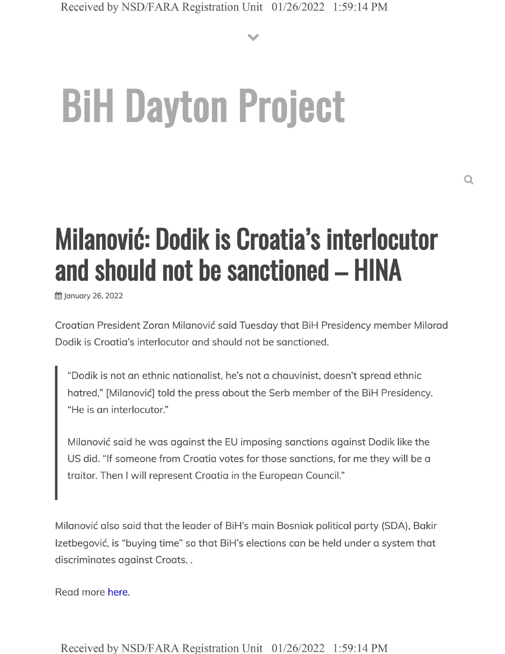**V**

## **BiH Dayton Project**

## **Milanovid: Dodik is Croatia's interlocutor and should not be sanctioned - HINA**

January 26, 2022

Croatian President Zoran Milanovic said Tuesday that BiH Presidency member Milorad Dodik is Croatia's interlocutor and should not be sanctioned.

"Dodik is not an ethnic nationalist, he's not a chauvinist, doesn't spread ethnic hatred," [Milanović] told the press about the Serb member of the BiH Presidency. "He is an interlocutor."

Milanovic said he was against the EU imposing sanctions against Dodik like the US did. "If someone from Croatia votes for those sanctions, for me they will be <sup>a</sup> traitor. Then <sup>I</sup> will represent Croatia in the European Council."

Milanovic also said that the leader of BiH's main Bosniak political party (SDA), Bakir Izetbegović, is "buying time" so that BiH's elections can be held under a system that discriminates against Croats,.

Read more here.

Received by NSD/FARA Registration Unit 01/26/2022 1:59:14 PM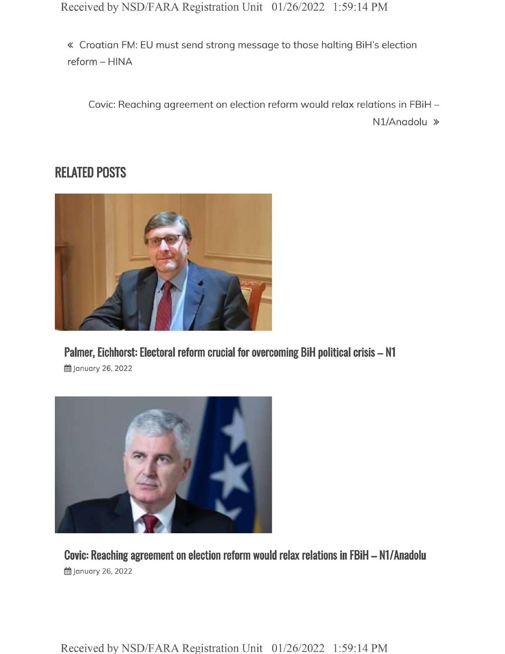Received by NSD/FARA Registration Unit 01/26/2022 1:59:14 PM

« Croatian FM: EU must send strong message to those halting BiH's election reform - HINA

Covic: Reaching agreement on election reform would relax relations in FBiH -

Nl/Anadolu »

## **RELATED POSTS**



**Palmer, Eichhorst: Electoral reform crucial for overcoming BiH political crisis - N1 ill** January 26, 2022



**Covic: Reaching agreement on election reform would relax relations in FBiH - Nl/Anadolu i**January 26, 2022

Received by NSD/FARA Registration Unit 01/26/2022 1:59:14 PM